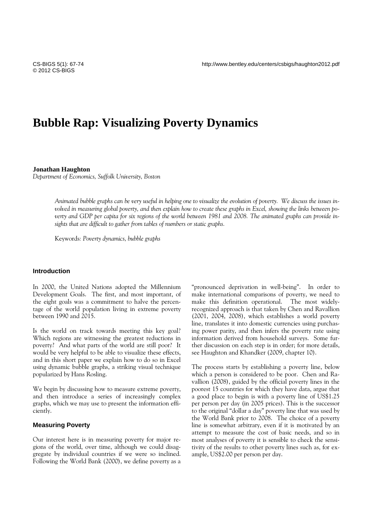# **Bubble Rap: Visualizing Poverty Dynamics**

**Jonathan Haughton** 

*Department of Economics, Suffolk University, Boston*

*Animated bubble graphs can be very useful in helping one to visualize the evolution of poverty. We discuss the issues involved in measuring global poverty, and then explain how to create these graphs in Excel, showing the links between poverty and GDP per capita for six regions of the world between 1981 and 2008. The animated graphs can provide insights that are difficult to gather from tables of numbers or static graphs.* 

Keywords*: Poverty dynamics, bubble graphs* 

# **Introduction**

In 2000, the United Nations adopted the Millennium Development Goals. The first, and most important, of the eight goals was a commitment to halve the percentage of the world population living in extreme poverty between 1990 and 2015.

Is the world on track towards meeting this key goal? Which regions are witnessing the greatest reductions in poverty? And what parts of the world are still poor? It would be very helpful to be able to visualize these effects, and in this short paper we explain how to do so in Excel using dynamic bubble graphs, a striking visual technique popularized by Hans Rosling.

We begin by discussing how to measure extreme poverty, and then introduce a series of increasingly complex graphs, which we may use to present the information efficiently.

## **Measuring Poverty**

Our interest here is in measuring poverty for major regions of the world, over time, although we could disaggregate by individual countries if we were so inclined. Following the World Bank (2000), we define poverty as a

"pronounced deprivation in well-being". In order to make international comparisons of poverty, we need to make this definition operational. The most widelyrecognized approach is that taken by Chen and Ravallion (2001, 2004, 2008), which establishes a world poverty line, translates it into domestic currencies using purchasing power parity, and then infers the poverty rate using information derived from household surveys. Some further discussion on each step is in order; for more details, see Haughton and Khandker (2009, chapter 10).

The process starts by establishing a poverty line, below which a person is considered to be poor. Chen and Ravallion (2008), guided by the official poverty lines in the poorest 15 countries for which they have data, argue that a good place to begin is with a poverty line of US\$1.25 per person per day (in 2005 prices). This is the successor to the original "dollar a day" poverty line that was used by the World Bank prior to 2008. The choice of a poverty line is somewhat arbitrary, even if it is motivated by an attempt to measure the cost of basic needs, and so in most analyses of poverty it is sensible to check the sensitivity of the results to other poverty lines such as, for example, US\$2.00 per person per day.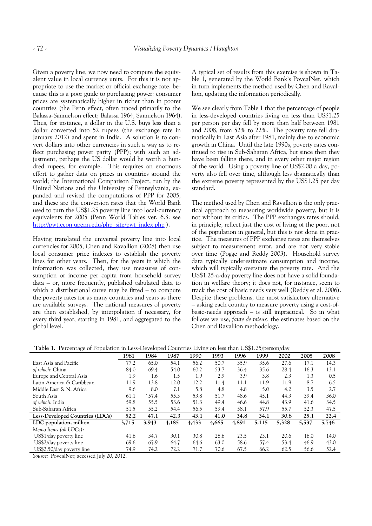Given a poverty line, we now need to compute the equivalent value in local currency units. For this it is not appropriate to use the market or official exchange rate, because this is a poor guide to purchasing power: consumer prices are systematically higher in richer than in poorer countries (the Penn effect, often traced primarily to the Balassa-Samuelson effect; Balassa 1964, Samuelson 1964). Thus, for instance, a dollar in the U.S. buys less than a dollar converted into 52 rupees (the exchange rate in January 2012) and spent in India. A solution is to convert dollars into other currencies in such a way as to reflect purchasing power parity (PPP); with such an adjustment, perhaps the US dollar would be worth a hundred rupees, for example. This requires an enormous effort to gather data on prices in countries around the world; the International Comparison Project, run by the United Nations and the University of Pennsylvania, expanded and revised the computations of PPP for 2005, and these are the conversion rates that the World Bank used to turn the US\$1.25 poverty line into local-currency equivalents for 2005 (Penn World Tables ver. 6.3: see http://pwt.econ.upenn.edu/php\_site/pwt\_index.php ).

Having translated the universal poverty line into local currencies for 2005, Chen and Ravallion (2008) then use local consumer price indexes to establish the poverty lines for other years. Then, for the years in which the information was collected, they use measures of consumption or income per capita from household survey data – or, more frequently, published tabulated data to which a distributional curve may be fitted – to compute the poverty rates for as many countries and years as there are available surveys. The national measures of poverty are then established, by interpolation if necessary, for every third year, starting in 1981, and aggregated to the global level.

A typical set of results from this exercise is shown in Table 1, generated by the World Bank's PovcalNet, which in turn implements the method used by Chen and Ravallion, updating the information periodically.

We see clearly from Table 1 that the percentage of people in less-developed countries living on less than US\$1.25 per person per day fell by more than half between 1981 and 2008, from 52% to 22%. The poverty rate fell dramatically in East Asia after 1981, mainly due to economic growth in China. Until the late 1990s, poverty rates continued to rise in Sub-Saharan Africa, but since then they have been falling there, and in every other major region of the world. Using a poverty line of US\$2.00 a day, poverty also fell over time, although less dramatically than the extreme poverty represented by the US\$1.25 per day standard.

The method used by Chen and Ravallion is the only practical approach to measuring worldwide poverty, but it is not without its critics. The PPP exchanges rates should, in principle, reflect just the cost of living of the poor, not of the population in general, but this is not done in practice. The measures of PPP exchange rates are themselves subject to measurement error, and are not very stable over time (Pogge and Reddy 2003). Household survey data typically underestimate consumption and income, which will typically overstate the poverty rate. And the US\$1.25-a-day poverty line does not have a solid foundation in welfare theory; it does not, for instance, seem to track the cost of basic needs very well (Reddy et al. 2006). Despite these problems, the most satisfactory alternative – asking each country to measure poverty using a cost-ofbasic-needs approach – is still impractical. So in what follows we use, *faute de mieux*, the estimates based on the Chen and Ravallion methodology.

**Table 1.** Percentage of Population in Less-Developed Countries Living on less than US\$1.25/person/day

|                                 | 1981  | 1984           | 1987  | 1990  | 1993  | 1996  | 1999  | 2002  | 2005  | 2008  |
|---------------------------------|-------|----------------|-------|-------|-------|-------|-------|-------|-------|-------|
| East Asia and Pacific           | 77.2  | 65.0           | 54.1  | 56.2  | 50.7  | 35.9  | 35.6  | 27.6  | 17.1  | 14.3  |
| of which: China                 | 84.0  | 69.4           | 54.0  | 60.2  | 53.7  | 36.4  | 35.6  | 28.4  | 16.3  | 13.1  |
| Europe and Central Asia         | 1.9   | 1.6            | 1.5   | 1.9   | 2.9   | 3.9   | 3.8   | 2.3   | 1.3   | 0.5   |
| Latin America & Caribbean       | 11.9  | 13.8           | 12.0  | 12.2  | 11.4  | 11.1  | 11.9  | 11.9  | 8.7   | 6.5   |
| Middle East & N. Africa         | 9.6   | 8.0            | 7.1   | 5.8   | 4.8   | 4.8   | 5.0   | 4.2   | 3.5   | 2.7   |
| South Asia                      | 61.1  | $\degree$ 57.4 | 55.3  | 53.8  | 51.7  | 48.6  | 45.1  | 44.3  | 39.4  | 36.0  |
| of which: India                 | 59.8  | 55.5           | 53.6  | 51.3  | 49.4  | 46.6  | 44.8  | 43.9  | 41.6  | 34.5  |
| Sub-Saharan Africa              | 51.5  | 55.2           | 54.4  | 56.5  | 59.4  | 58.1  | 57.9  | 55.7  | 52.3  | 47.5  |
| Less-Developed Countries (LDCs) | 52.2  | 47.1           | 42.3  | 43.1  | 41.0  | 34.8  | 34.1  | 30.8  | 25.1  | 22.4  |
| LDC population, million         | 3,715 | 3,943          | 4,185 | 4,433 | 4,665 | 4,891 | 5,115 | 5,328 | 5,537 | 5,746 |
| Memo Items (all LDCs):          |       |                |       |       |       |       |       |       |       |       |
| US\$1/day poverty line          | 41.6  | 34.7           | 30.1  | 30.8  | 28.6  | 23.5  | 23.1  | 20.6  | 16.0  | 14.0  |
| US\$2/day poverty line          | 69.6  | 67.9           | 64.7  | 64.6  | 63.0  | 58.6  | 57.4  | 53.4  | 46.9  | 43.0  |
| US\$2.50/day poverty line       | 74.9  | 74.2           | 72.2  | 71.7  | 70.6  | 67.5  | 66.2  | 62.5  | 56.6  | 52.4  |
|                                 |       |                |       |       |       |       |       |       |       |       |

*Source:* PovcalNet; accessed July 20, 2012.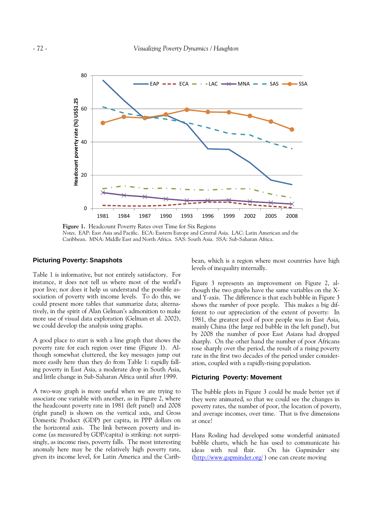

**Figure 1.** Headcount Poverty Rates over Time for Six Regions *Notes*. EAP: East Asia and Pacific. ECA: Eastern Europe and Central Asia. LAC: Latin American and the Caribbean. MNA: Middle East and North Africa. SAS: South Asia. SSA: Sub-Saharan Africa.

## **Picturing Poverty: Snapshots**

Table 1 is informative, but not entirely satisfactory. For instance, it does not tell us where most of the world's poor live; nor does it help us understand the possible association of poverty with income levels. To do this, we could present more tables that summarize data; alternatively, in the spirit of Alan Gelman's admonition to make more use of visual data exploration (Gelman et al. 2002), we could develop the analysis using graphs.

A good place to start is with a line graph that shows the poverty rate for each region over time (Figure 1). Although somewhat cluttered, the key messages jump out more easily here than they do from Table 1: rapidly falling poverty in East Asia, a moderate drop in South Asia, and little change in Sub-Saharan Africa until after 1999.

A two-way graph is more useful when we are trying to associate one variable with another, as in Figure 2, where the headcount poverty rate in 1981 (left panel) and 2008 (right panel) is shown on the vertical axis, and Gross Domestic Product (GDP) per capita, in PPP dollars on the horizontal axis. The link between poverty and income (as measured by GDP/capita) is striking: not surprisingly, as income rises, poverty falls. The most interesting anomaly here may be the relatively high poverty rate, given its income level, for Latin America and the Caribbean, which is a region where most countries have high levels of inequality internally.

Figure 3 represents an improvement on Figure 2, although the two graphs have the same variables on the Xand Y-axis. The difference is that each bubble in Figure 3 shows the *number* of poor people. This makes a big different to our appreciation of the extent of poverty: In 1981, the greatest pool of poor people was in East Asia, mainly China (the large red bubble in the left panel), but by 2008 the number of poor East Asians had dropped sharply. On the other hand the number of poor Africans rose sharply over the period, the result of a rising poverty rate in the first two decades of the period under consideration, coupled with a rapidly-rising population.

#### **Picturing Poverty: Movement**

The bubble plots in Figure 3 could be made better yet if they were animated, so that we could see the changes in poverty rates, the number of poor, the location of poverty, and average incomes, over time. That is five dimensions at once!

Hans Rosling had developed some wonderful animated bubble charts, which he has used to communicate his ideas with real flair. On his Gapminder site On his Gapminder site (http://www.gapminder.org/ ) one can create moving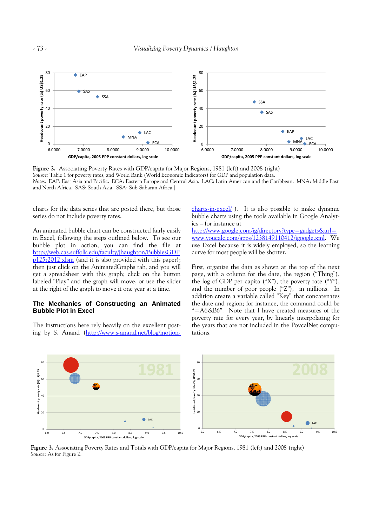

**Figure 2.** Associating Poverty Rates with GDP/capita for Major Regions, 1981 (left) and 2008 (right) *Source:* Table 1 for poverty rates, and World Bank (World Economic Indicators) for GDP and population data. *Notes*. EAP: East Asia and Pacific. ECA: Eastern Europe and Central Asia. LAC: Latin American and the Caribbean. MNA: Middle East and North Africa. SAS: South Asia. SSA: Sub-Saharan Africa.]

charts for the data series that are posted there, but those series do not include poverty rates.

An animated bubble chart can be constructed fairly easily in Excel, following the steps outlined below. To see our bubble plot in action, you can find the file at http://web.cas.suffolk.edu/faculty/jhaughton/BubblesGDP p125r2012.xlsm (and it is also provided with this paper); then just click on the AnimatedGraphs tab, and you will get a spreadsheet with this graph; click on the button labeled "Play" and the graph will move, or use the slider at the right of the graph to move it one year at a time.

## **The Mechanics of Constructing an Animated Bubble Plot in Excel**

The instructions here rely heavily on the excellent posting by S. Anand (http://www.s-anand.net/blog/motioncharts-in-excel/ ). It is also possible to make dynamic bubble charts using the tools available in Google Analytics – for instance at

http://www.google.com/ig/directory?type=gadgets&url= www.youcalc.com/apps/1238149110412/igoogle.xml. We use Excel because it is widely employed, so the learning curve for most people will be shorter.

First, organize the data as shown at the top of the next page, with a column for the date, the region ("Thing"), the log of GDP per capita  $("X")$ , the poverty rate  $("Y")$ , and the number of poor people ("Z"), in millions. In addition create a variable called "Key" that concatenates the date and region; for instance, the command could be "=A6&B6". Note that I have created measures of the poverty rate for every year, by linearly interpolating for the years that are not included in the PovcalNet computations.



**Figure 3.** Associating Poverty Rates and Totals with GDP/capita for Major Regions, 1981 (left) and 2008 (right) *Source:* As for Figure 2.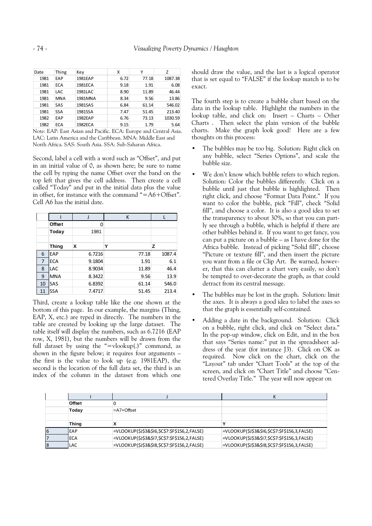| Date | Thing      | Key     | x    | Υ     | Z       |
|------|------------|---------|------|-------|---------|
| 1981 | EAP        | 1981EAP | 6.72 | 77.18 | 1087.38 |
| 1981 | <b>ECA</b> | 1981ECA | 9.18 | 1.91  | 6.08    |
| 1981 | LAC        | 1981LAC | 8.90 | 11.89 | 46.44   |
| 1981 | <b>MNA</b> | 1981MNA | 8.34 | 9.56  | 13.86   |
| 1981 | SAS        | 1981SAS | 6.84 | 61.14 | 546.02  |
| 1981 | <b>SSA</b> | 1981SSA | 7.47 | 51.45 | 213.40  |
| 1982 | EAP        | 1982EAP | 6.76 | 73.13 | 1030.59 |
| 1982 | ECA        | 1982ECA | 9.15 | 1.79  | 5.64    |

Note: EAP: East Asian and Pacific. ECA: Europe and Central Asia. LAC: Latin America and the Caribbean. MNA: Middle East and North Africa. SAS: South Asia. SSA: Sub-Saharan Africa.

Second, label a cell with a word such as "Offset", and put in an initial value of 0, as shown here; be sure to name the cell by typing the name Offset over the band on the top left that gives the cell address. Then create a cell called "Today" and put in the initial data plus the value in offset, for instance with the command "=A6+Offset". Cell A6 has the initial date.

|                |              |        | K     |        |
|----------------|--------------|--------|-------|--------|
|                | Offset       | 0      |       |        |
|                | Today        | 1981   |       |        |
|                |              |        |       |        |
|                | <b>Thing</b> | X      | Υ     | z      |
| 6              | EAP          | 6.7216 | 77.18 | 1087.4 |
| $\overline{7}$ | <b>ECA</b>   | 9.1804 | 1.91  | 6.1    |
| 8              | <b>LAC</b>   | 8.9034 | 11.89 | 46.4   |
| 9              | <b>MNA</b>   | 8.3422 | 9.56  | 13.9   |
| 10             | SAS          | 6.8392 | 61.14 | 546.0  |
| 11             | SSA          | 7.4717 | 51.45 | 213.4  |

Third, create a lookup table like the one shown at the bottom of this page. In our example, the margins (Thing, EAP, X, etc.) are typed in directly. The numbers in the table are created by looking up the large dataset. The table itself will display the numbers, such as 6.7216 (EAP row, X, 1981), but the numbers will be drawn from the full dataset by using the "=vlookup $(.)$ " command, as shown in the figure below; it requires four arguments – the first is the value to look up (e.g. 1981EAP), the second is the location of the full data set, the third is an index of the column in the dataset from which one

should draw the value, and the last is a logical operator that is set equal to "FALSE" if the lookup match is to be exact.

The fourth step is to create a bubble chart based on the data in the lookup table. Highlight the numbers in the lookup table, and click on: Insert – Charts – Other Charts . Then select the plain version of the bubble charts. Make the graph look good! Here are a few thoughts on this process:

- The bubbles may be too big. Solution: Right click on any bubble, select "Series Options", and scale the bubble size.
- We don't know which bubble refers to which region. Solution: Color the bubbles differently. Click on a bubble until just that bubble is highlighted. Then right click, and choose "Format Data Point." If you want to color the bubble, pick "Fill", check "Solid fill", and choose a color. It is also a good idea to set the transparency to about 30%, so that you can partly see through a bubble, which is helpful if there are other bubbles behind it. If you want to get fancy, you can put a picture on a bubble – as I have done for the Africa bubble. Instead of picking "Solid fill", choose "Picture or texture fill", and then insert the picture you want from a file or Clip Art. Be warned, however, that this can clutter a chart very easily, so don't be tempted to over-decorate the graph, as that could detract from its central message.
- The bubbles may be lost in the graph. Solution: limit the axes. It is always a good idea to label the axes so that the graph is essentially self-contained.
- Adding a date in the background. Solution: Click on a bubble, right click, and click on "Select data." In the pop-up window, click on Edit, and in the box that says "Series name:" put in the spreadsheet address of the year (for instance J3). Click on OK as required. Now click on the chart, click on the "Layout" tab under "Chart Tools" at the top of the screen, and click on "Chart Title" and choose "Centered Overlay Title." The year will now appear on

|   | Offset       |                                               |                                               |
|---|--------------|-----------------------------------------------|-----------------------------------------------|
|   | Today        | $=A7+O$ ffset                                 |                                               |
|   |              |                                               |                                               |
|   | <b>Thing</b> |                                               |                                               |
| 6 | EAP          | =VLOOKUP(\$J\$3&\$I6,\$C\$7:\$F\$156,2,FALSE) | =VLOOKUP(\$J\$3&\$I6,\$C\$7:\$F\$156,3,FALSE) |
|   | <b>ECA</b>   | =VLOOKUP(\$J\$3&\$I7,\$C\$7:\$F\$156,2,FALSE) | =VLOOKUP(\$J\$3&\$I7,\$C\$7:\$F\$156,3,FALSE) |
| 8 | <b>LAC</b>   | =VLOOKUP(\$J\$3&\$I8,\$C\$7:\$F\$156,2,FALSE) | =VLOOKUP(\$J\$3&\$I8,\$C\$7:\$F\$156,3,FALSE) |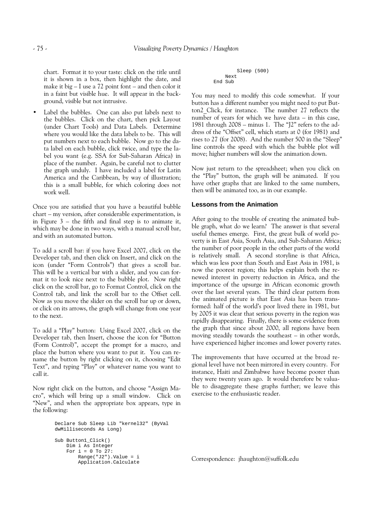chart. Format it to your taste: click on the title until it is shown in a box, then highlight the date, and make it big – I use a 72 point font – and then color it in a faint but visible hue. It will appear in the background, visible but not intrusive.

Label the bubbles. One can also put labels next to the bubbles. Click on the chart, then pick Layout (under Chart Tools) and Data Labels. Determine where you would like the data labels to be. This will put numbers next to each bubble. Now go to the data label on each bubble, click twice, and type the label you want (e.g. SSA for Sub-Saharan Africa) in place of the number. Again, be careful not to clutter the graph unduly. I have included a label for Latin America and the Caribbean, by way of illustration; this is a small bubble, for which coloring does not work well.

Once you are satisfied that you have a beautiful bubble chart – my version, after considerable experimentation, is in Figure  $3$  – the fifth and final step is to animate it, which may be done in two ways, with a manual scroll bar, and with an automated button.

To add a scroll bar: if you have Excel 2007, click on the Developer tab, and then click on Insert, and click on the icon (under "Form Controls") that gives a scroll bar. This will be a vertical bar with a slider, and you can format it to look nice next to the bubble plot. Now right click on the scroll bar, go to Format Control, click on the Control tab, and link the scroll bar to the Offset cell. Now as you move the slider on the scroll bar up or down, or click on its arrows, the graph will change from one year to the next.

To add a "Play" button: Using Excel 2007, click on the Developer tab, then Insert, choose the icon for "Button (Form Control)", accept the prompt for a macro, and place the button where you want to put it. You can rename the button by right clicking on it, choosing "Edit Text", and typing "Play" or whatever name you want to call it.

Now right click on the button, and choose "Assign Macro", which will bring up a small window. Click on "New", and when the appropriate box appears, type in the following:

```
Declare Sub Sleep Lib "kernel32" (ByVal 
dwMilliseconds As Long) 
Sub Button1_Click() 
     Dim i As Integer 
    For i = 0 To 27:
         Range("J2").Value = i 
         Application.Calculate
```

```
 Sleep (500) 
      Next 
End Sub
```
You may need to modify this code somewhat. If your button has a different number you might need to put Button2\_Click, for instance. The number 27 reflects the number of years for which we have data – in this case, 1981 through 2008 – minus 1. The "J2" refers to the address of the "Offset" cell, which starts at 0 (for 1981) and rises to 27 (for 2008). And the number 500 in the "Sleep" line controls the speed with which the bubble plot will move; higher numbers will slow the animation down.

Now just return to the spreadsheet; when you click on the "Play" button, the graph will be animated. If you have other graphs that are linked to the same numbers, then will be animated too, as in our example.

## **Lessons from the Animation**

After going to the trouble of creating the animated bubble graph, what do we learn? The answer is that several useful themes emerge. First, the great bulk of world poverty is in East Asia, South Asia, and Sub-Saharan Africa; the number of poor people in the other parts of the world is relatively small. A second storyline is that Africa, which was less poor than South and East Asia in 1981, is now the poorest region; this helps explain both the renewed interest in poverty reduction in Africa, and the importance of the upsurge in African economic growth over the last several years. The third clear pattern from the animated picture is that East Asia has been transformed: half of the world's poor lived there in 1981, but by 2005 it was clear that serious poverty in the region was rapidly disappearing. Finally, there is some evidence from the graph that since about 2000, all regions have been moving steadily towards the southeast – in other words, have experienced higher incomes and lower poverty rates.

The improvements that have occurred at the broad regional level have not been mirrored in every country. For instance, Haiti and Zimbabwe have become poorer than they were twenty years ago. It would therefore be valuable to disaggregate these graphs further; we leave this exercise to the enthusiastic reader.

Correspondence: jhaughton@suffolk.edu